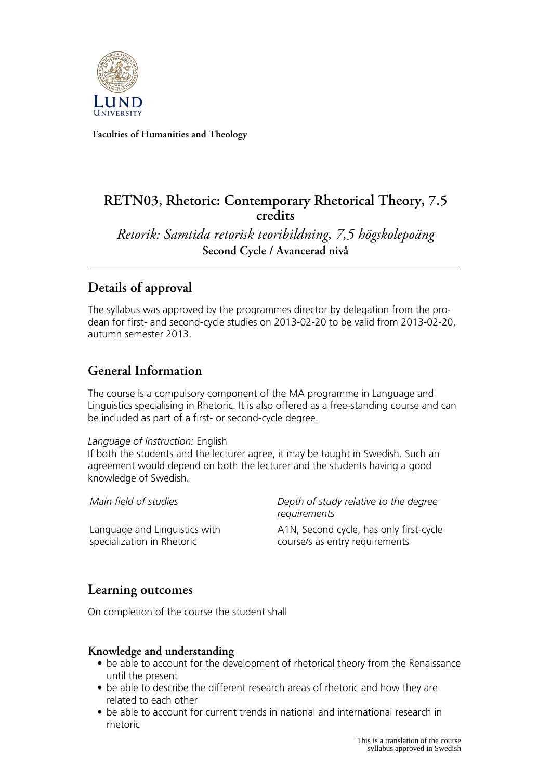

**Faculties of Humanities and Theology**

# **RETN03, Rhetoric: Contemporary Rhetorical Theory, 7.5 credits**

*Retorik: Samtida retorisk teoribildning, 7,5 högskolepoäng* **Second Cycle / Avancerad nivå**

# **Details of approval**

The syllabus was approved by the programmes director by delegation from the prodean for first- and second-cycle studies on 2013-02-20 to be valid from 2013-02-20, autumn semester 2013.

# **General Information**

The course is a compulsory component of the MA programme in Language and Linguistics specialising in Rhetoric. It is also offered as a free-standing course and can be included as part of a first- or second-cycle degree.

#### *Language of instruction:* English

If both the students and the lecturer agree, it may be taught in Swedish. Such an agreement would depend on both the lecturer and the students having a good knowledge of Swedish.

Language and Linguistics with specialization in Rhetoric

*Main field of studies Depth of study relative to the degree requirements*

> A1N, Second cycle, has only first-cycle course/s as entry requirements

## **Learning outcomes**

On completion of the course the student shall

## **Knowledge and understanding**

- be able to account for the development of rhetorical theory from the Renaissance until the present
- be able to describe the different research areas of rhetoric and how they are related to each other
- be able to account for current trends in national and international research in rhetoric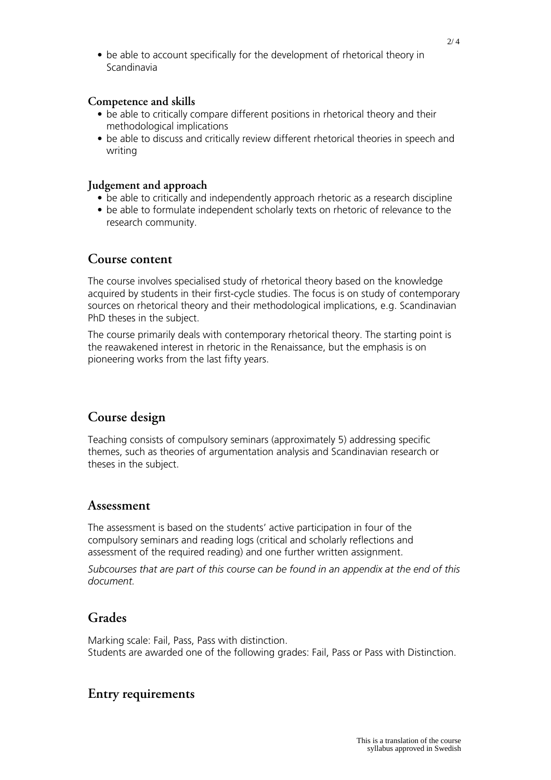• be able to account specifically for the development of rhetorical theory in Scandinavia

#### **Competence and skills**

- be able to critically compare different positions in rhetorical theory and their methodological implications
- be able to discuss and critically review different rhetorical theories in speech and writing

#### **Judgement and approach**

- be able to critically and independently approach rhetoric as a research discipline
- be able to formulate independent scholarly texts on rhetoric of relevance to the research community.

## **Course content**

The course involves specialised study of rhetorical theory based on the knowledge acquired by students in their first-cycle studies. The focus is on study of contemporary sources on rhetorical theory and their methodological implications, e.g. Scandinavian PhD theses in the subject.

The course primarily deals with contemporary rhetorical theory. The starting point is the reawakened interest in rhetoric in the Renaissance, but the emphasis is on pioneering works from the last fifty years.

## **Course design**

Teaching consists of compulsory seminars (approximately 5) addressing specific themes, such as theories of argumentation analysis and Scandinavian research or theses in the subject.

## **Assessment**

The assessment is based on the students' active participation in four of the compulsory seminars and reading logs (critical and scholarly reflections and assessment of the required reading) and one further written assignment.

*Subcourses that are part of this course can be found in an appendix at the end of this document.*

## **Grades**

Marking scale: Fail, Pass, Pass with distinction. Students are awarded one of the following grades: Fail, Pass or Pass with Distinction.

## **Entry requirements**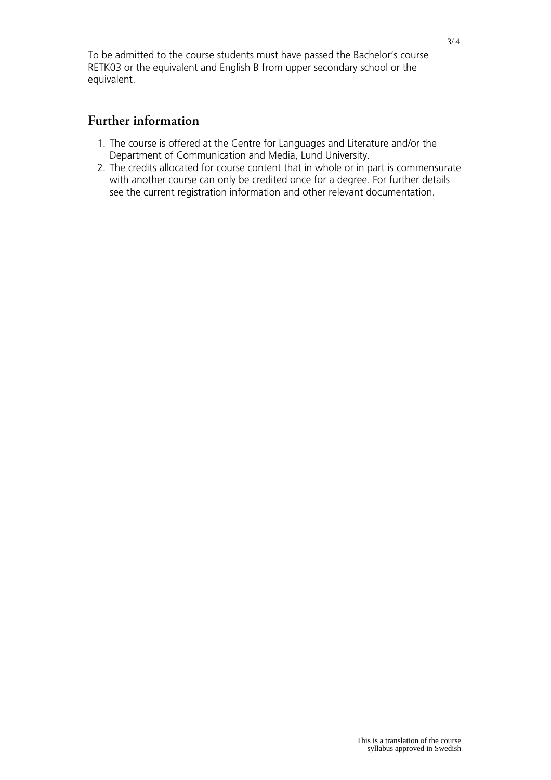To be admitted to the course students must have passed the Bachelor's course RETK03 or the equivalent and English B from upper secondary school or the equivalent.

## **Further information**

- 1. The course is offered at the Centre for Languages and Literature and/or the Department of Communication and Media, Lund University.
- 2. The credits allocated for course content that in whole or in part is commensurate with another course can only be credited once for a degree. For further details see the current registration information and other relevant documentation.